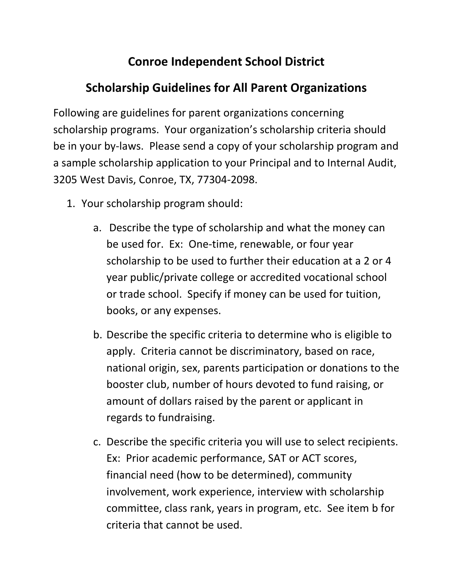## **Conroe Independent School District**

## **Scholarship Guidelines for All Parent Organizations**

Following are guidelines for parent organizations concerning scholarship programs. Your organization's scholarship criteria should be in your by-laws. Please send a copy of your scholarship program and a sample scholarship application to your Principal and to Internal Audit, 3205 West Davis, Conroe, TX, 77304-2098.

- 1. Your scholarship program should:
	- a. Describe the type of scholarship and what the money can be used for. Ex: One-time, renewable, or four year scholarship to be used to further their education at a 2 or 4 year public/private college or accredited vocational school or trade school. Specify if money can be used for tuition, books, or any expenses.
	- b. Describe the specific criteria to determine who is eligible to apply. Criteria cannot be discriminatory, based on race, national origin, sex, parents participation or donations to the booster club, number of hours devoted to fund raising, or amount of dollars raised by the parent or applicant in regards to fundraising.
	- c. Describe the specific criteria you will use to select recipients. Ex: Prior academic performance, SAT or ACT scores, financial need (how to be determined), community involvement, work experience, interview with scholarship committee, class rank, years in program, etc. See item b for criteria that cannot be used.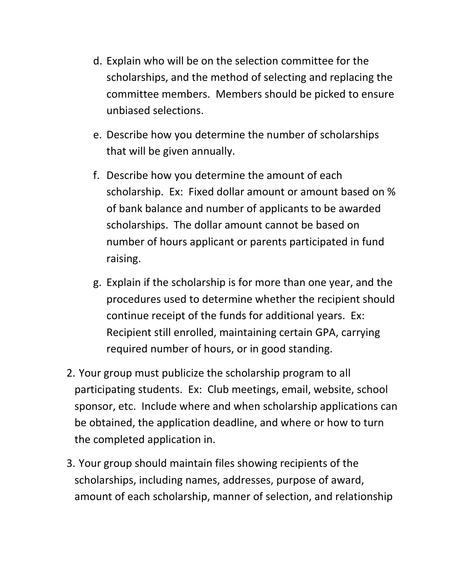- d. Explain who will be on the selection committee for the scholarships, and the method of selecting and replacing the committee members. Members should be picked to ensure unbiased selections.
- e. Describe how you determine the number of scholarships that will be given annually.
- f. Describe how you determine the amount of each scholarship. Ex: Fixed dollar amount or amount based on % of bank balance and number of applicants to be awarded scholarships. The dollar amount cannot be based on number of hours applicant or parents participated in fund raising.
- g. Explain if the scholarship is for more than one year, and the procedures used to determine whether the recipient should continue receipt of the funds for additional years. Ex: Recipient still enrolled, maintaining certain GPA, carrying required number of hours, or in good standing.
- 2. Your group must publicize the scholarship program to all participating students. Ex: Club meetings, email, website, school sponsor, etc. Include where and when scholarship applications can be obtained, the application deadline, and where or how to turn the completed application in.
- 3. Your group should maintain files showing recipients of the scholarships, including names, addresses, purpose of award, amount of each scholarship, manner of selection, and relationship